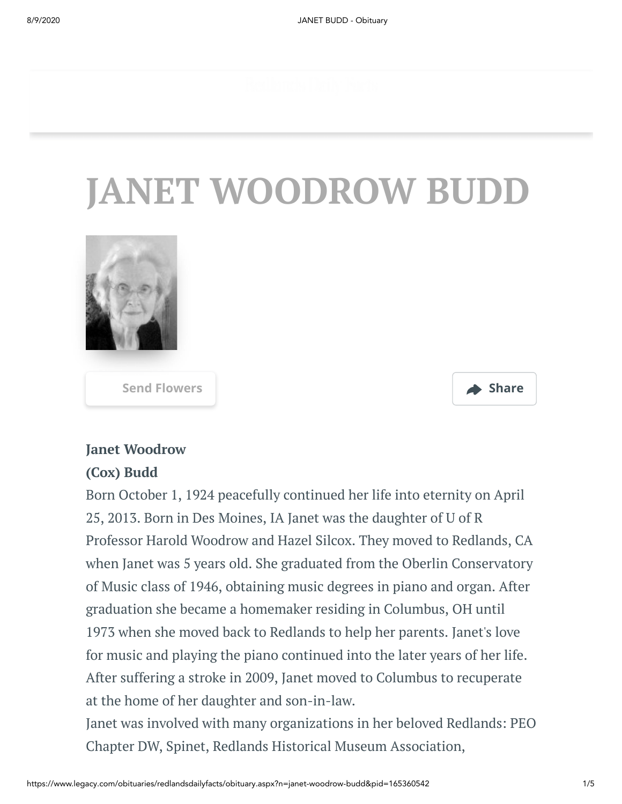# **JANET WOODROW BUDD**



**[Send Flowers](https://sympathy.legacy.com/en-us/funeral-flowers/name/janet-budd-funeral-flowers/p165360542/?affiliateId=1383&pm=205) Share**



#### **Janet Woodrow**

#### **(Cox) Budd**

Born October 1, 1924 peacefully continued her life into eternity on April 25, 2013. Born in Des Moines, IA Janet was the daughter of U of R Professor Harold Woodrow and Hazel Silcox. They moved to Redlands, CA when Janet was 5 years old. She graduated from the Oberlin Conservatory of Music class of 1946, obtaining music degrees in piano and organ. After graduation she became a homemaker residing in Columbus, OH until 1973 when she moved back to Redlands to help her parents. Janet's love for music and playing the piano continued into the later years of her life. After suffering a stroke in 2009, Janet moved to Columbus to recuperate at the home of her daughter and son-in-law.

Janet was involved with many organizations in her beloved Redlands: PEO Chapter DW, Spinet, Redlands Historical Museum Association,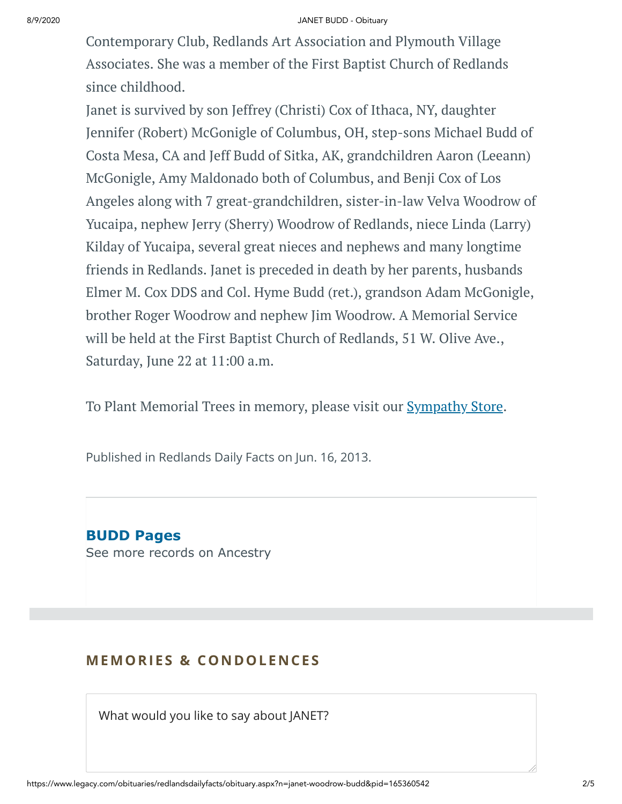#### 8/9/2020 JANET BUDD - Obituary

Contemporary Club, Redlands Art Association and Plymouth Village Associates. She was a member of the First Baptist Church of Redlands since childhood.

Janet is survived by son Jeffrey (Christi) Cox of Ithaca, NY, daughter Jennifer (Robert) McGonigle of Columbus, OH, step-sons Michael Budd of Costa Mesa, CA and Jeff Budd of Sitka, AK, grandchildren Aaron (Leeann) McGonigle, Amy Maldonado both of Columbus, and Benji Cox of Los Angeles along with 7 great-grandchildren, sister-in-law Velva Woodrow of Yucaipa, nephew Jerry (Sherry) Woodrow of Redlands, niece Linda (Larry) Kilday of Yucaipa, several great nieces and nephews and many longtime friends in Redlands. Janet is preceded in death by her parents, husbands Elmer M. Cox DDS and Col. Hyme Budd (ret.), grandson Adam McGonigle, brother Roger Woodrow and nephew Jim Woodrow. A Memorial Service will be held at the First Baptist Church of Redlands, 51 W. Olive Ave., Saturday, June 22 at 11:00 a.m.

To Plant Memorial Trees in memory, please visit our [Sympathy](https://sympathy.legacy.com/en-us/funeral-flowers/name/janet-budd-funeral-flowers/p165360542/?affiliateId=1383&pm=240) Store.

Published in Redlands Daily Facts on Jun. 16, 2013.

**BUDD Pages** [See more records on Ancestry](https://adclick.g.doubleclick.net/pcs/click?xai=AKAOjsvxkreEvktWqxpzNEppeDAoFzeluv_MFwBS3W_yELRhv7A7m_9idWy93aKQPPBIB1caoee63rxS0dcoC_ji65vCl0yNNa6V6wJO7udKiS2kc9v2tLzzEdpOy8b_3RYC2ir7Jc-vD7D7584Ufy0VBqXgGlg9QP0L9dK_bo-6Z75trq5WfCDBc3EX5DSxaaQUZhXiFK7uufefP5_e4j31w4uMcOME2SVpo1g7eqRdnUWXTUFmGE-1FKsQwx7jgteegMgV9scatQFNN1yOjEKCGrb2jaw7JDmfxKOPDSoTKOIH5lHS6ofFzA&sig=Cg0ArKJSzNaSKHCpQSEpEAE&urlfix=1&adurl=https://prf.hn/click/camref:1101l3yjc/adref:77841/destination:https://www.ancestry.com/cs/partner-records%3FflowId%3DpartnersBirth%26gsfn%3DJANET%26gsln%3DBUDD)

#### **MEMORIES & CO N DOLE N CES**

What would you like to say about JANET?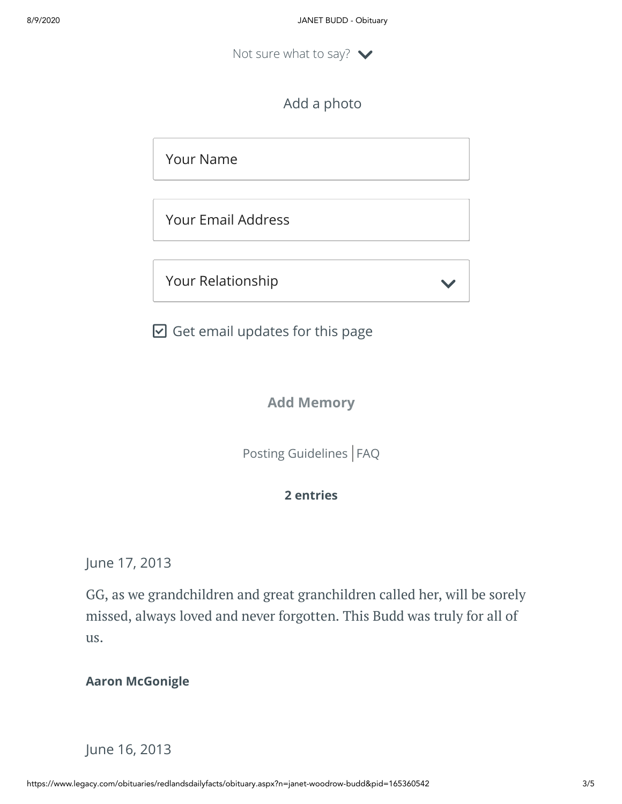Not sure what to say?  $\blacktriangleright$ 

Add a photo

Your Name

Your Email Address

Your Relationship

 $\boxdot$  Get email updates for this page

#### **Add Memory**

[Posting Guidelines](https://www.legacy.com/guestbooks/posting-guidelines.aspx?n=JANET-BUDD&pid=165360542) | [FAQ](https://www.legacy.com/guestbooks/faq.aspx?n=JANET-BUDD&pid=165360542)

#### **2 entries**

June 17, 2013

GG, as we grandchildren and great granchildren called her, will be sorely missed, always loved and never forgotten. This Budd was truly for all of us.

#### **Aaron McGonigle**

### June 16, 2013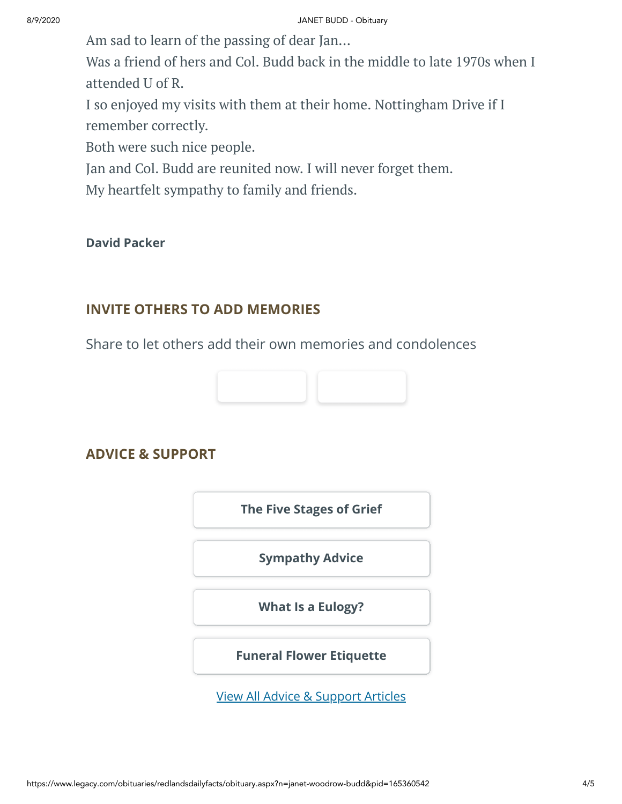Am sad to learn of the passing of dear Jan...

Was a friend of hers and Col. Budd back in the middle to late 1970s when I attended U of R.

I so enjoyed my visits with them at their home. Nottingham Drive if I remember correctly.

Both were such nice people.

Jan and Col. Budd are reunited now. I will never forget them.

My heartfelt sympathy to family and friends.

#### **David Packer**

## **INVITE OTHERS TO ADD MEMORIES**

Share to let others add their own memories and condolences



### **ADVICE & SUPPORT**

**[The Five Stages of Grief](https://www.legacy.com/news/advice-and-support/article/the-five-stages-of-grief)**

**[Sympathy Advice](https://www.legacy.com/news/advice-and-support/article/sympathy-and-condolence-advice)**

**[What Is a Eulogy?](https://www.legacy.com/news/advice-and-support/article/what-is-a-eulogy)**

**[Funeral Flower Etiquette](https://sympathy.legacy.com//en-us/funeral-flowers/article/funeral-flower-etiquette/)**

[View All Advice & Support Articles](http://www.legacy.com/news/advice-and-support)